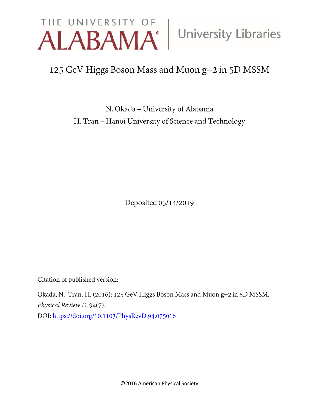# **THE UNIVERSITY OF ALABAMA® University Libraries**

## 125 GeV Higgs Boson Mass and Muon g-2 in 5D MSSM

N. Okada - University of Alabama H. Tran - Hanoi University of Science and Technology

Deposited 05/14/2019

Citation of published version:

Okada, N., Tran, H. (2016): 125 GeV Higgs Boson Mass and Muon g-2 in 5D MSSM. *Physical Review D,* 94(7). DOI: [https://doi.org/10.1103/PhysRevD,94,075016](https://doi.org/10.1103/PhysRevD.94.075016)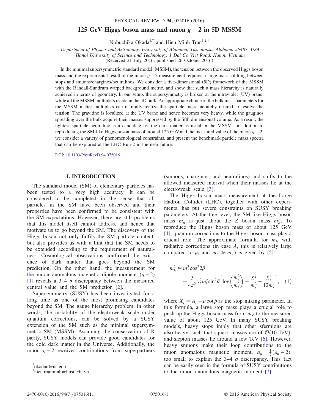### 125 GeV Higgs boson mass and muon  $g - 2$  in 5D MSSM

Nobuchika Okada<sup>[1,\\*](#page-1-0)</sup> and Hieu Minh Tran<sup>1,2,[†](#page-1-1)</sup>

<span id="page-1-2"></span><sup>1</sup>Department of Physics and Astronomy, University of Alabama, Tuscaloosa, Alabama 35487, USA  $\frac{2H_{\text{max}}}{1}$  University of Science and Technology *L* Dei Go Viet Boad, Hanoi Vietnam

 $^{2}$ Hanoi University of Science and Technology, 1 Dai Co Viet Road, Hanoi, Vietnam

(Received 21 July 2016; published 26 October 2016)

In the minimal supersymmetric standard model (MSSM), the tension between the observed Higgs boson mass and the experimental result of the muon  $q - 2$  measurement requires a large mass splitting between stops and smuons/charginos/neutralinos. We consider a five-dimensional (5D) framework of the MSSM with the Randall-Sundrum warped background metric, and show that such a mass hierarchy is naturally achieved in terms of geometry. In our setup, the supersymmetry is broken at the ultraviolet (UV) brane, while all the MSSM multiplets reside in the 5D bulk. An appropriate choice of the bulk mass parameters for the MSSM matter multiplets can naturally realize the sparticle mass hierarchy desired to resolve the tension. The gravitino is localized at the UV brane and hence becomes very heavy, while the gauginos spreading over the bulk acquire their masses suppressed by the fifth dimensional volume. As a result, the lightest sparticle neutralino is a candidate for the dark matter as usual in the MSSM. In addition to reproducing the SM-like Higgs boson mass of around 125 GeV and the measured value of the muon  $g - 2$ , we consider a variety of phenomenological constraints, and present the benchmark particle mass spectra that can be explored at the LHC Run-2 in the near future.

DOI: [10.1103/PhysRevD.94.075016](http://dx.doi.org/10.1103/PhysRevD.94.075016)

### I. INTRODUCTION

The standard model (SM) of elementary particles has been tested to a very high accuracy. It can be considered to be completed in the sense that all particles in the SM have been observed and their properties have been confirmed to be consistent with the SM expectations. However, there are still problems that this model itself cannot address, and hence that motivate us to go beyond the SM. The discovery of the Higgs boson not only fulfils the SM particle content, but also provides us with a hint that the SM needs to be extended according to the requirement of naturalness. Cosmological observations confirmed the existence of dark matter that goes beyond the SM prediction. On the other hand, the measurement for the muon anomalous magnetic dipole moment  $(g - 2)$ [\[1\]](#page-10-0) reveals a 3–4  $\sigma$  discrepancy between the measured central value and the SM prediction [\[2\]](#page-10-1).

Supersymmetry (SUSY) has been investigated for a long time as one of the most promising candidates beyond the SM. The gauge hierarchy problem, in other words, the instability of the electroweak scale under quantum corrections, can be solved by a SUSY extension of the SM such as the minimal supersymmetric SM (MSSM). Assuming the conservation of R parity, SUSY models can provide good candidates for the cold dark matter in the Universe. Additionally, the muon  $q - 2$  receives contributions from superpartners

<span id="page-1-1"></span><span id="page-1-0"></span>[\\*](#page-1-2) okadan@ua.edu [†](#page-1-2) hieu.tranminh@hust.edu.vn (smuons, charginos, and neutralinos) and shifts to the allowed measured interval when their masses lie at the electroweak scale [\[3\].](#page-10-2)

The Higgs boson mass measurement at the Large Hadron Collider (LHC), together with other experiments, has put severe constraints on SUSY breaking parameters. At the tree level, the SM-like Higgs boson mass  $m_h$  is just about the Z boson mass  $m_Z$ . To reproduce the Higgs boson mass of about 125 GeV [\[4\]](#page-10-3), quantum corrections to the Higgs boson mass play a crucial role. The approximate formula for  $m_h$  with radiative corrections (in case  $A_t$  this is relatively large compared to  $\mu$ , and  $m_A \gg m_Z$ ) is given by [\[5\]](#page-10-4)

<span id="page-1-3"></span>
$$
m_h^2 \simeq m_Z^2 \cos^2 2\beta
$$
  
 
$$
+ \frac{3}{4\pi^2} y_t^2 m_t^2 \sin^2 \beta \left[ \log \left( \frac{m_{\tilde{t}}^2}{m_t^2} \right) + \frac{X_t^2}{m_{\tilde{t}}^2} - \frac{X_t^4}{12m_{\tilde{t}}^4} \right], \quad (1)
$$

<span id="page-1-4"></span>where  $X_t = A_t - \mu \cot \beta$  is the stop mixing parameter. In this formula, a large stop mass plays a crucial role to push up the Higgs boson mass from  $m<sub>z</sub>$  to the measured value of about 125 GeV. In many SUSY breaking models, heavy stops imply that other sfermions are also heavy, such that squark masses are of  $\mathcal{O}(10 \text{ TeV})$ , and slepton masses lie around a few TeV [\[6\].](#page-10-5) However, heavy smuons make their loop contributions to the muon anomalous magnetic moment,  $a_{\mu} = \frac{1}{2}(g_{\mu} - 2)$ , too small to explain the 3–4  $\sigma$  discrepancy. This fact can be easily seen in the formula of SUSY contributions to the muon anomalous magnetic moment [\[7\],](#page-10-6)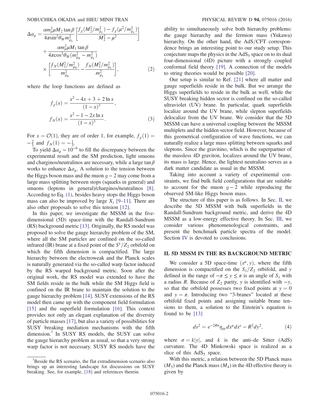$$
\Delta a_{\mu} = \frac{\alpha m_{\mu}^2 \mu M_2 \tan \beta}{4\pi \sin^2 \theta_W m_{\tilde{\mu}_L}^2} \left[ \frac{f_{\chi} (M_2^2 / m_{\tilde{\mu}_L}^2) - f_{\chi} (\mu^2 / m_{\tilde{\mu}_L}^2)}{M_2^2 - \mu^2} \right] + \frac{\alpha m_{\mu}^2 \mu M_1 \tan \beta}{4\pi \cos^2 \theta_W (m_{\tilde{\mu}_R}^2 - m_{\tilde{\mu}_L}^2)} \times \left[ \frac{f_N (M_1^2 / m_{\tilde{\mu}_R}^2) - f_N (M_1^2 / m_{\tilde{\mu}_L}^2)}{m_{\tilde{\mu}_R}^2} \right],
$$
(2)

where the loop functions are defined as

$$
f_{\chi}(x) = \frac{x^2 - 4x + 3 + 2\ln x}{(1 - x)^3},
$$

$$
f_{N}(x) = \frac{x^2 - 1 - 2x\ln x}{(1 - x)^3}.
$$
(3)

For  $x = \mathcal{O}(1)$ , they are of order 1, for example,  $f_{\chi}(1) =$  $-\frac{2}{3}$  and  $f_N(1) = -\frac{1}{3}$ .<br>To yield  $\Delta a_{\text{tot}}(1)$ 

To yield  $\Delta a_{\mu} \sim 10^{-9}$  to fill the discrepancy between the experimental result and the SM prediction, light smuons and charginos/neutralinos are necessary, while a large  $\tan \beta$ works to enhance  $\Delta a_{\mu}$ . A solution to the tension between the Higgs boson mass and the muon  $q - 2$  may come from a large mass splitting between stops (squarks in general) and smuons (leptons in general)/charginos/neutralinos [\[8\]](#page-10-7). According to Eq. [\(1\),](#page-1-3) besides heavy stops the Higgs boson mass can also be improved by large  $X_t$  [9–[11\].](#page-10-8) There are also other proposals to solve this tension [\[12\].](#page-10-9)

In this paper, we investigate the MSSM in the fivedimensional (5D) space-time with the Randall-Sundrum (RS) background metric [\[13\]](#page-11-0). Originally, the RS model was proposed to solve the gauge hierarchy problem of the SM, where all the SM particles are confined on the so-called infrared (IR) brane at a fixed point of the  $S^1/Z_2$  orbifold on which the fifth dimension is compactified. The large hierarchy between the electroweak and the Planck scales is naturally generated via the so-called warp factor induced by the RS warped background metric. Soon after the original work, the RS model was extended to have the SM fields reside in the bulk while the SM Higgs field is confined on the IR brane to maintain the solution to the gauge hierarchy problem [\[14\]](#page-11-1). SUSY extensions of the RS model then came up with the component field formulation [\[15\]](#page-11-2) and the superfield formulation [\[16\].](#page-11-3) This context provides not only an elegant explanation of the diversity of particle masses [\[17\]](#page-11-4), but also a variety of possibilities for SUSY breaking mediation mechanisms with the fifth dimension.<sup>1</sup> In SUSY RS models, the SUSY can solve the gauge hierarchy problem as usual, so that a very strong warp factor is not necessary. SUSY RS models have the ability to simultaneously solve both hierarchy problems: the gauge hierarchy and the fermion mass (Yukawa) hierarchy. On the other hand, the  $AdS/CFT$  correspondence brings an interesting point to our study setup. This conjecture maps the physics in the  $AdS_5$  space on to its dual four-dimensional (4D) picture with a strongly coupled conformal field theory [\[19\]](#page-11-5). A connection of the models to string theories would be possible [\[20\].](#page-11-6)

Our setup is similar to Ref. [\[21\]](#page-11-7) where all matter and gauge superfields reside in the bulk. But we arrange the Higgs superfields to reside in the bulk as well, while the SUSY breaking hidden sector is confined on the so-called ultraviolet (UV) brane. In particular, quark superfields localize around the UV brane, while slepton superfields delocalize from the UV brane. We consider that the 5D MSSM can have a universal coupling between the MSSM multiplets and the hidden sector field. However, because of this geometrical configuration of wave functions, we can naturally realize a large mass splitting between squarks and sleptons. Since the gravitino, which is the superpartner of the massless 4D graviton, localizes around the UV brane, its mass is large. Hence, the lightest neutralino serves as a dark matter candidate as usual in the MSSM.

Taking into account a variety of experimental constraints, we find bulk field configurations that are suitable to account for the muon  $q - 2$  while reproducing the observed SM-like Higgs boson mass.

The structure of this paper is as follows. In Sec. [II,](#page-2-0) we describe the 5D MSSM with bulk superfields in the Randall-Sundrum background metric, and derive the 4D MSSM as a low-energy effective theory. In Sec. [III,](#page-6-0) we consider various phenomenological constraints, and present the benchmark particle spectra of the model. Section [IV](#page-9-0) is devoted to conclusions.

### <span id="page-2-0"></span>II. 5D MSSM IN THE RS BACKGROUND METRIC

We consider a 5D space-time  $(x^{\mu}, y)$ , where the fifth dimension is compactified on the  $S_1/Z_2$  orbifold, and y defined in the range of  $-\pi \le y \le \pi$  is an angle of  $S_1$  with a radius R. Because of  $Z_2$  parity, y is identified with  $-y$ , so that the orbifold possesses two fixed points at  $y = 0$ and  $y = \pi$ . Introducing two "3-branes" located at these orbifold fixed points and assigning suitable brane tensions to them, a solution to the Einstein's equation is found to be [\[13\]](#page-11-0)

$$
ds^2 = e^{-2R\sigma} \eta_{\mu\nu} dx^{\mu} dx^{\nu} - R^2 dy^2, \qquad (4)
$$

where  $\sigma = k|y|$ , and k is the anti–de Sitter (AdS) curvature. The 4D Minkowski space is realized as a slice of this  $AdS_5$  space.

With this metric, a relation between the 5D Planck mass  $(M_5)$  and the Planck mass  $(M_4)$  in the 4D effective theory is given by

<sup>&</sup>lt;sup>1</sup>Beside the RS scenario, the flat extradimension scenario also brings up an interesting landscape for discussions on SUSY breaking. See, for example, [\[18\]](#page-11-8) and references therein.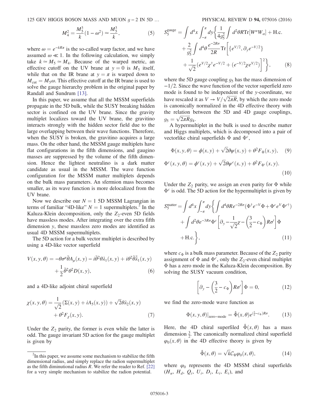125 GEV HIGGS BOSON MASS AND MUON  $g - 2$  IN 5D ... PHYSICAL REVIEW D 94, 075016 (2016)

$$
M_4^2 = \frac{M_5^3}{k} (1 - \omega^2) \simeq \frac{M_5^3}{k},\tag{5}
$$

where  $\omega = e^{-kR\pi}$  is the so-called warp factor, and we have assumed  $\omega \ll 1$ . In the following calculation, we simply take  $k \approx M_5 \approx M_4$ . Because of the warped metric, an effective cutoff on the UV brane at  $y = 0$  is  $M_5$  itself, while that on the IR brane at  $y = \pi$  is warped down to  $M_{\text{cut}} = M_5 \omega$ . This effective cutoff at the IR brane is used to solve the gauge hierarchy problem in the original paper by Randall and Sundrum [\[13\].](#page-11-0)

In this paper, we assume that all the MSSM superfields propagate in the 5D bulk, while the SUSY breaking hidden sector is confined on the UV brane. Since the gravity multiplet localizes toward the UV brane, the gravitino interacts strongly with the hidden sector field due to the large overlapping between their wave functions. Therefore, when the SUSY is broken, the gravitino acquires a large mass. On the other hand, the MSSM gauge multiplets have flat configurations in the fifth dimensions, and gaugino masses are suppressed by the volume of the fifth dimension. Hence the lightest neutralino is a dark matter candidate as usual in the MSSM. The wave function configuration for the MSSM matter multiplets depends on the bulk mass parameters. An sfermion mass becomes smaller, as its wave function is more delocalized from the UV brane.

Now we describe our  $N = 1$  5D MSSM Lagrangian in terms of familiar "4D-like"  $N = 1$  supermultiplets.<sup>2</sup> In the Kaluza-Klein decomposition, only the  $Z_2$ -even 5D fields have massless modes. After integrating over the extra fifth dimension y, these massless zero modes are identified as usual 4D MSSM supermultiplets.

The 5D action for a bulk vector multiplet is described by using a 4D-like vector superfield

$$
V(x, y, \theta) = -\theta \sigma^{\mu} \bar{\theta} A_{\mu}(x, y) - i \bar{\theta}^{2} \theta \lambda_{1}(x, y) + i \theta^{2} \bar{\theta} \bar{\lambda}_{1}(x, y)
$$

$$
+ \frac{1}{2} \bar{\theta}^{2} \theta^{2} D(x, y), \tag{6}
$$

and a 4D-like adjoint chiral superfield

$$
\chi(x, y, \theta) = \frac{1}{\sqrt{2}} (\Sigma(x, y) + iA_5(x, y)) + \sqrt{2}\theta \lambda_2(x, y)
$$

$$
+ \theta^2 F_\chi(x, y).
$$
 (7)

Under the  $Z_2$  parity, the former is even while the latter is odd. The gauge invariant 5D action for the gauge multiplet is given by

$$
S_5^{\text{gauge}} = \int d^4x \int_{-\pi}^{\pi} dy \left\{ \frac{1}{4g_5^2} \int d^2\theta R \text{Tr}[W^{\alpha}W_{\alpha}] + \text{H.c.} \right.+ \frac{2}{g_5^2} \int d^4\theta \frac{e^{-2R\sigma}}{2R} \text{Tr} \left[ \{ e^{V/2}, \partial_y e^{-V/2} \} + \frac{1}{\sqrt{2}} (e^{V/2} \chi^{\dagger} e^{-V/2} + (e^{-V/2} \chi e^{V/2}) \right]^2 \right\}, \tag{8}
$$

where the 5D gauge coupling  $q_5$  has the mass dimension of  $-1/2$ . Since the wave function of the vector superfield zero mode is found to be independent of the y-coordinate, we have rescaled it as  $V \to V/\sqrt{2\pi R}$ , by which the zero mode is canonically normalized in the 4D effective theory with the relation between the 5D and 4D gauge couplings,  $g_5 = \sqrt{2\pi R}g_4.$ <br>A hypermul

A hypermultiplet in the bulk is used to describe matter and Higgs multiplets, which is decomposed into a pair of vectorlike chiral superfields  $\Phi$  and  $\Phi^c$ ,

$$
\Phi(x, y, \theta) = \phi(x, y) + \sqrt{2}\theta\psi(x, y) + \theta^2 F_{\Phi}(x, y), \quad (9)
$$

$$
\Phi^c(x, y, \theta) = \phi^c(x, y) + \sqrt{2}\theta\psi^c(x, y) + \theta^2 F_{\Phi^c}(x, y).
$$
\n(10)

<span id="page-3-0"></span>Under the  $Z_2$  parity, we assign an even parity for  $\Phi$  while  $\Phi^c$  is odd. The 5D action for the hypermultiplet is given by

$$
S_5^{\text{matter}} = \int d^4x \int_{-\pi}^{\pi} dy \left\{ \int d^4\theta R e^{-2R\sigma} (\Phi^{\dagger} e^{-V} \Phi + \Phi^c e^V \Phi^{c\dagger}) + \int d^2\theta e^{-3R\sigma} \Phi^c \left[ \partial_y - \frac{1}{\sqrt{2}} \chi - \left( \frac{3}{2} - c_{\Phi} \right) R \sigma' \right] \Phi + \text{H.c.} \right\},\tag{11}
$$

where  $c_{\Phi}$  is a bulk mass parameter. Because of the  $Z_2$  parity assignment of  $\Phi$  and  $\Phi^c$ , only the  $Z_2$ -even chiral multiplet Φ has a zero mode in the Kaluza-Klein decomposition. By solving the SUSY vacuum condition,

$$
\left[\partial_y - \left(\frac{3}{2} - c_{\Phi}\right) R \sigma'\right] \Phi = 0, \qquad (12)
$$

<span id="page-3-1"></span>we find the zero-mode wave function as

$$
\Phi(x, y, \theta)|_{\text{zero-mode}} = \hat{\Phi}(x, \theta) e^{(\frac{3}{2} - c_{\Phi})R\sigma}.
$$
 (13)

Here, the 4D chiral superfiled  $\hat{\Phi}(x, \theta)$  has a mass dimension  $\frac{3}{2}$ . The canonically normalized chiral superfield  $\varphi_0(x, \theta)$  in the 4D effective theory is given by

$$
\hat{\Phi}(x,\theta) = \sqrt{k} \mathcal{C}_{\Phi} \varphi_0(x,\theta), \qquad (14)
$$

where  $\varphi_0$  represents the 4D MSSM chiral superfields  $(H_u, H_d, Q_i, U_i, D_i, L_i, E_i)$ , and

 $2<sup>2</sup>$ In this paper, we assume some mechanism to stabilize the fifth dimensional radius, and simply replace the radion supermultiplet as the fifth diminutional radius  $R$ . We refer the reader to Ref. [\[22\]](#page-11-9) for a very simple mechanism to stabilize the radion potential.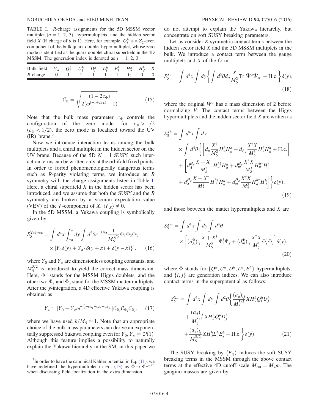<span id="page-4-0"></span>TABLE I. R-charge assignments for the 5D MSSM vector multiplet ( $a = 1, 2, 3$ ), hypermultiplets, and the hidden sector field X (R charge of  $\theta$  is 1). Here, for example,  $Q_i^h$  is a  $Z_2$ -even component of the bulk quark doublet hypermultiplet, whose zero mode is identified as the quark doublet chiral superfield in the 4D MSSM. The generation index is denoted as  $i = 1, 2, 3$ .

| Bulk field $V_a$ $Q_i^h$ $U_i^h$ $D_i^h$ $L_i^h$ $E_i^h$ $H_u^h$ $H_d^h$ $X$ |  |  |  |  |  |
|------------------------------------------------------------------------------|--|--|--|--|--|
| R charge 0 1 1 1 1 1 0 0 0                                                   |  |  |  |  |  |

$$
C_{\Phi} = \sqrt{\frac{(1 - 2c_{\Phi})}{2(\omega^{(-1 + 2c_{\Phi})} - 1)}}.
$$
 (15)

Note that the bulk mass parameter  $c_{\Phi}$  controls the configuration of the zero mode: for  $c_{\Phi} > 1/2$  $(c<sub>\Phi</sub> < 1/2)$ , the zero mode is localized toward the UV  $(IR)$  brane.

Now we introduce interaction terms among the bulk multiplets and a chiral multiplet in the hidden sector on the UV brane. Because of the 5D  $N = 1$  SUSY, such interaction terms can be written only at the orbifold fixed points. In order to forbid phenomenologically dangerous terms such as  $R$ -parity violating terms, we introduce an  $R$ symmetry with the charge assignments listed in Table [I](#page-4-0). Here, a chiral superfield  $X$  in the hidden sector has been introduced, and we assume that both the SUSY and the R symmetry are broken by a vacuum expectation value (VEV) of the *F*-component of *X*,  $\langle F_X \rangle \neq 0$ .

In the 5D MSSM, a Yukawa coupling is symbolically given by

$$
S_5^{\text{Yukawa}} = \int d^4x \int_{-\pi}^{\pi} dy \int d^2\theta e^{-3R\sigma} \frac{1}{M_5^{3/2}} \Phi_1 \Phi_2 \Phi_3
$$

$$
\times \left[ Y_0 \delta(y) + Y_\pi \{ \delta(y + \pi) + \delta(y - \pi) \} \right], \qquad (16)
$$

where  $Y_0$  and  $Y_\pi$  are dimensionless coupling constants, and  $M_5^{3/2}$  is introduced to yield the correct mass dimension. Here,  $\Phi_1$  stands for the MSSM Higgs doublets, and the other two  $\Phi_2$  and  $\Phi_3$  stand for the MSSM matter multiplets. After the y-integration, a 4D effective Yukawa coupling is obtained as

$$
Y_4 \simeq [Y_0 + Y_{\pi} \omega^{-(\frac{3}{2} - c_{\Phi_1} - c_{\Phi_2} - c_{\Phi_3})}] C_{\Phi_1} C_{\Phi_2} C_{\Phi_3}, \qquad (17)
$$

where we have used  $k/M_5 \simeq 1$ . Note that an appropriate choice of the bulk mass parameters can derive an exponentially suppressed Yukawa coupling even for  $Y_0, Y_\pi = \mathcal{O}(1)$ . Although this feature implies a possibility to naturally explain the Yukawa hierarchy in the SM, in this paper we do not attempt to explain the Yukawa hierarchy, but concentrate on soft SUSY breaking parameters.

Let us consider *-symmetric contact terms between the* hidden sector field X and the 5D MSSM multiplets in the bulk. We introduce a contact term between the gauge multiplets and X of the form

$$
S_5^{Xg} = \int d^4x \int dy \left\{ \int d^2\theta d_a \frac{X}{M_5^2} \text{Tr}[\tilde{W}^a \tilde{W}_a] + \text{H.c.} \right\} \delta(y),\tag{18}
$$

<span id="page-4-1"></span>where the original  $\tilde{W}^{\alpha}$  has a mass dimension of 2 before normalizing V. The contact terms between the Higgs hypermultiplets and the hidden sector field  $X$  are written as

$$
S_{5}^{Xh} = \int d^{4}x \int dy
$$
  
\n
$$
\times \int d^{4}\theta \left\{ \left[ d_{\mu} \frac{X^{\dagger}}{M_{5}^{2}} H_{u}^{h} H_{d}^{h} + d_{B_{\mu}} \frac{X^{\dagger} X}{M_{5}^{3}} H_{u}^{h} H_{d}^{h} + \text{H.c.} \right] + \left[ d_{A}^{H_{u}} \frac{X + X^{\dagger}}{M_{5}^{2}} H_{u}^{h \dagger} H_{u}^{h} + d_{m}^{H_{u}} \frac{X^{\dagger} X}{M_{5}^{3}} H_{u}^{h \dagger} H_{u}^{h} + d_{A}^{H_{d}} \frac{X + X^{\dagger}}{M_{5}^{2}} H_{d}^{h \dagger} H_{d}^{h} + d_{m}^{H_{d}} \frac{X^{\dagger} X}{M_{5}^{3}} H_{d}^{h \dagger} H_{d}^{h} \right] \right\} \delta(y),
$$
\n(19)

<span id="page-4-2"></span>and those between the matter hypermultiplets and X are

$$
S_{5}^{Xm} = \int d^{4}x \int dy \int d^{4}\theta
$$
  
 
$$
\times \left[ (d_{A}^{\Phi})_{ij} \frac{X + X^{\dagger}}{M_{5}^{2}} \Phi_{i}^{\dagger} \Phi_{j} + (d_{m}^{\Phi})_{ij} \frac{X^{\dagger}X}{M_{5}^{3}} \Phi_{i}^{\dagger} \Phi_{j} \right] \delta(y), \tag{20}
$$

<span id="page-4-3"></span>where  $\Phi$  stands for  $\{Q^h, U^h, D^h, L^h, E^h\}$  hypermultiplets, and  $\{i, j\}$  are generation indices. We can also introduce contact terms in the superpotential as follows:

$$
S_5^{Xa} = \int d^4x \int dy \int d^2\theta \left\{ \frac{(a_u)_{ij}}{M_5^{5/2}} X H_u^h Q_i^h U_j^h \right. +\frac{(a_d)_{ij}}{M_5^{5/2}} X H_d^h Q_i^h D_j^h +\frac{(a_e)_{ij}}{M_5^{5/2}} X H_d^h L_i^h E_j^h + \text{H.c.} \right\} \delta(y).
$$
 (21)

<span id="page-4-4"></span>The SUSY breaking by  $\langle F_X \rangle$  induces the soft SUSY breaking terms in the MSSM through the above contact terms at the effective 4D cutoff scale  $M_{\text{cut}} = M_4 \omega$ . The gaugino masses are given by

 $3$ In order to have the canonical Kahler potential in Eq.  $(11)$ , we have redefined the hypermultiplet in Eq. [\(13\)](#page-3-1) as  $\Phi \to \Phi e^{-R\sigma}$ when discussing field localization in the extra dimension.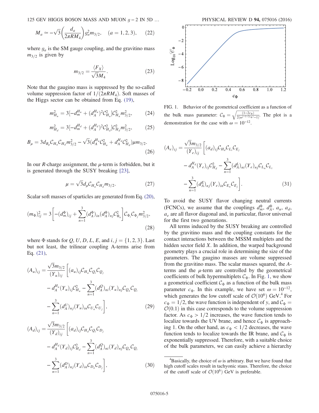125 GEV HIGGS BOSON MASS AND MUON  $g - 2$  IN 5D ... PHYSICAL REVIEW D 94, 075016 (2016)

$$
M_a \simeq -\sqrt{3} \left( \frac{d_a}{2\pi R M_4} \right) g_a^2 m_{3/2}, \quad (a = 1, 2, 3), \quad (22)
$$

where  $g_a$  is the SM gauge coupling, and the gravitino mass  $m_{3/2}$  is given by

$$
m_{3/2} = \frac{\langle F_X \rangle}{\sqrt{3}M_4}.
$$
 (23)

Note that the gaugino mass is suppressed by the so-called volume suppression factor of  $1/(2\pi RM_4)$ . Soft masses of the Higgs sector can be obtained from Eq. [\(19\)](#page-4-1),

$$
m_{H_u}^2 = 3[-d_m^{H_u} + (d_A^{H_u})^2 C_{H_u}^2] C_{H_u}^2 m_{3/2}^2, \qquad (24)
$$

$$
m_{H_d}^2 = 3[-d_m^{H_d} + (d_A^{H_d})^2 \mathcal{C}_{H_d}^2] \mathcal{C}_{H_d}^2 m_{3/2}^2, \tag{25}
$$

$$
B_{\mu} = 3d_{B_{\mu}}C_{H_{u}}C_{H_{d}}m_{3/2}^{2} - \sqrt{3}(d_{A}^{H_{u}}C_{H_{u}}^{2} + d_{A}^{H_{d}}C_{H_{d}}^{2})\mu m_{3/2}.
$$
\n(26)

In our R-charge assignment, the  $\mu$ -term is forbidden, but it is generated through the SUSY breaking [\[23\],](#page-11-10)

$$
\mu = \sqrt{3} d_{\mu} C_{H_u} C_{H_d} m_{3/2}.
$$
 (27)

Scalar soft masses of sparticles are generated from Eq. [\(20\)](#page-4-2),

$$
(m_{\Phi})_{ij}^{2} = 3 \left[ -(d_{m}^{\Phi})_{ij} + \sum_{n=1}^{3} (d_{A}^{\Phi})_{in} (d_{A}^{\Phi})_{nj} C_{\Phi_{n}}^{2} \right] C_{\Phi_{i}} C_{\Phi_{j}} m_{3/2}^{2},
$$
\n(28)

where  $\Phi$  stands for Q, U, D, L, E, and i,  $j = \{1, 2, 3\}$ . Last but not least, the trilinear coupling A-terms arise from Eq. [\(21\)](#page-4-3),

$$
(A_u)_{ij} = \frac{\sqrt{3m_{3/2}}}{(Y_u)_{ij}} \left[ (a_u)_{ij} C_{H_u} C_{Q_i} C_{Q_j} \n- d_A^{H_u} (Y_u)_{ij} C_{H_u}^2 - \sum_{n=1}^3 (d_A^Q)_{ni} (Y_u)_{nj} C_{Q_n} C_{Q_i} \n- \sum_{n=1}^3 (d_A^U)_{nj} (Y_u)_{in} C_{U_n} C_{U_j} \right],
$$
\n(29)

$$
(A_d)_{ij} = \frac{\sqrt{3}m_{3/2}}{(Y_d)_{ij}} \left[ (a_d)_{ij} C_{H_d} C_{Q_i} C_{D_j} - d_A^{H_d} (Y_d)_{ij} C_{H_d}^2 - \sum_{n=1}^3 (d_A^Q)_{ni} (Y_d)_{nj} C_{Q_n} C_{Q_i} - \sum_{n=1}^3 (d_A^D)_{nj} (Y_d)_{in} C_{D_n} C_{D_j} \right],
$$
\n(30)

<span id="page-5-0"></span>

FIG. 1. Behavior of the geometrical coefficient as a function of the bulk mass parameter:  $C_{\Phi} = \sqrt{\frac{(1-2c_{\Phi})}{2(\omega^{(-1+2c_{\Phi})}-1)}}$  $\frac{2(\omega^{(-1+2c_{\Phi})}-1)}{10^{-12}}$  $\sqrt{\frac{(1-2c_{\Phi})}{2(\omega^{(-1+2c_{\Phi})}-1)}}$ . The plot is a demonstration for the case with  $\omega = 10^{-12}$ .

<span id="page-5-1"></span>
$$
(A_e)_{ij} = \frac{\sqrt{3}m_{3/2}}{(Y_e)_{ij}} \left[ (a_d)_{ij} C_{H_d} C_{L_i} C_{E_j} - d_A^{H_d} (Y_e)_{ij} C_{H_d}^2 - \sum_{n=1}^3 (d_A^L)_{ni} (Y_e)_{nj} C_{L_n} C_{L_i} - \sum_{n=1}^3 (d_A^E)_{nj} (Y_e)_{in} C_{E_n} C_{E_j} \right].
$$
\n(31)

To avoid the SUSY flavor changing neutral currents (FCNCs), we assume that the couplings  $d_m^{\Phi}$ ,  $d_A^{\Phi}$ ,  $a_u$ ,  $a_d$ ,  $a_{e}$  are all flavor diagonal and, in particular, flavor universal for the first two generations.

All terms induced by the SUSY breaking are controlled by the gravitino mass and the coupling constants for the contact interactions between the MSSM multiplets and the hidden sector field X. In addition, the warped background geometry plays a crucial role in determining the size of the parameters. The gaugino masses are volume suppressed from the gravitino mass. The scalar masses squared, the Aterms and the  $\mu$ -term are controlled by the geometrical coefficients of bulk hypermultiplets  $C_{\Phi}$ . In Fig. [1](#page-5-0), we show a geometrical coefficient  $\mathcal{C}_{\Phi}$  as a function of the bulk mass parameter  $c_{\Phi}$ . In this example, we have set  $\omega = 10^{-12}$ , which generates the low cutoff scale of  $\mathcal{O}(10^6)$  GeV.<sup>4</sup> For  $c_{\Phi} = 1/2$ , the wave function is independent of y, and  $C_{\Phi} =$  $\mathcal{O}(0.1)$  in this case corresponds to the volume suppression factor. As  $c_{\Phi} > 1/2$  increases, the wave function tends to localize towards the UV brane, and hence  $\mathcal{C}_{\Phi}$  is approaching 1. On the other hand, as  $c_{\Phi}$  < 1/2 decreases, the wave function tends to localize towards the IR brane, and  $\mathcal{C}_{\Phi}$  is exponentially suppressed. Therefore, with a suitable choice of the bulk parameters, we can easily achieve a hierarchy

<sup>&</sup>lt;sup>4</sup>Basically, the choice of  $\omega$  is arbitrary. But we have found that high cutoff scales result in tachyonic staus. Therefore, the choice of the cutoff scale of  $\mathcal{O}(10^6)$  GeV is preferable.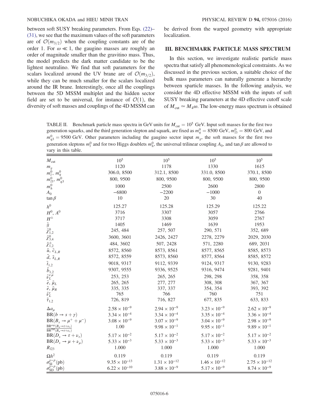### NOBUCHIKA OKADA and HIEU MINH TRAN PHYSICAL REVIEW D 94, 075016 (2016)

between soft SUSY breaking parameters. From Eqs. [\(22\)](#page-4-4)– [\(31\)](#page-5-1), we see that the maximum values of the soft parameters are of  $\mathcal{O}(m_{3/2})$  when the coupling constants are of the order 1. For  $\omega \ll 1$ , the gaugino masses are roughly an order of magnitude smaller than the gravitino mass. Thus, the model predicts the dark matter candidate to be the lightest neutralino. We find that soft parameters for the scalars localized around the UV brane are of  $\mathcal{O}(m_{3/2})$ , while they can be much smaller for the scalars localized around the IR brane. Interestingly, once all the couplings between the 5D MSSM multiplet and the hidden sector field are set to be universal, for instance of  $\mathcal{O}(1)$ , the diversity of soft masses and couplings of the 4D MSSM can

be derived from the warped geometry with appropriate localization.

### <span id="page-6-0"></span>III. BENCHMARK PARTICLE MASS SPECTRUM

In this section, we investigate realistic particle mass spectra that satisfy all phenomenological constraints. As we discussed in the previous section, a suitable choice of the bulk mass parameters can naturally generate a hierarchy between sparticle masses. In the following analysis, we consider the 4D effective MSSM with the inputs of soft SUSY breaking parameters at the 4D effective cutoff scale of  $M_{\text{cut}} \simeq M_4 \omega$ . The low-energy mass spectrum is obtained

<span id="page-6-1"></span>TABLE II. Benchmark particle mass spectra in GeV units for  $M_{\text{cut}} = 10^5$  GeV. Input soft masses for the first two generation squarks, and the third generation slepton and squark, are fixed as  $m_q^0 = 8500 \text{ GeV}$ ,  $m_{l3}^0 = 800 \text{ GeV}$ , and  $m_q^0 = 0.500 \text{ GeV}$ . Other personators, including the gaugine sector input  $m_q$ , the seft masses  $m_{q3}^0 = 9500$  GeV. Other parameters including the gaugino sector input  $m_g$ , the soft masses for the first two generation sleptons  $m_l^0$  and for two Higgs doublets  $m_h^0$ , the universal trilinear coupling  $A_0$ , and tan  $\beta$  are allowed to vary in this table.

| $M_{\rm cut}$                                                                                                                                                                                                                                                                                                | $10^{5}$               | 10 <sup>5</sup>       | 10 <sup>5</sup>        | 10 <sup>5</sup>        |
|--------------------------------------------------------------------------------------------------------------------------------------------------------------------------------------------------------------------------------------------------------------------------------------------------------------|------------------------|-----------------------|------------------------|------------------------|
| $m_{\it g}$                                                                                                                                                                                                                                                                                                  | 1120                   | 1178                  | 1330                   | 1615                   |
| $m_l^0$ , $m_q^0$                                                                                                                                                                                                                                                                                            | 306.0, 8500            | 312.1, 8500           | 331.0, 8500            | 370.1, 8500            |
| $m_{l3}^{0}$ ,<br>$m_{q3}^0$                                                                                                                                                                                                                                                                                 | 800, 9500              | 800, 9500             | 800, 9500              | 800, 9500              |
| $m_h^0$                                                                                                                                                                                                                                                                                                      | 1000                   | 2500                  | 2600                   | 2800                   |
| $A_0$                                                                                                                                                                                                                                                                                                        | $-6800$                | $-2200$               | $-1000$                | $\overline{0}$         |
| $\tan \beta$                                                                                                                                                                                                                                                                                                 | 10                     | 20                    | 30                     | 40                     |
| h <sup>0</sup>                                                                                                                                                                                                                                                                                               | 125.27                 | 125.28                | 125.29                 | 125.22                 |
| $H^0$ , $A^0$                                                                                                                                                                                                                                                                                                | 3716                   | 3307                  | 3057                   | 2766                   |
| $H^\pm$                                                                                                                                                                                                                                                                                                      | 3717                   | 3308                  | 3059                   | 2767                   |
|                                                                                                                                                                                                                                                                                                              | 1405                   | 1469                  | 1639                   | 1953                   |
|                                                                                                                                                                                                                                                                                                              | 245, 484               | 257, 507              | 290, 571               | 352, 689               |
|                                                                                                                                                                                                                                                                                                              | 3600, 3601             | 2426, 2427            | 2278, 2279             | 2029, 2030             |
| $\begin{array}{l} \tilde{g} \\ \tilde{\chi}_{1,2}^{0}\\ \tilde{\chi}_{3,4}^{3}\\ \tilde{\chi}_{1,2}^{\pm}\\ \tilde{u},\ \tilde{c}_{L,R}\\ \tilde{u},\ \tilde{z}_{L,R}\\ \tilde{t}_{1,2}\\ \tilde{b}_{1,2}\\ \tilde{\nu}_{L}^{\mu}\\ \tilde{e},\ \tilde{\mu}_{L}\\ \tilde{e},\ \tilde{\mu}_{R}\\ \end{array}$ | 484, 3602              | 507, 2428             | 571, 2280              | 689, 2031              |
|                                                                                                                                                                                                                                                                                                              | 8572, 8560             | 8573, 8561            | 8577, 8565             | 8585, 8573             |
|                                                                                                                                                                                                                                                                                                              | 8572, 8559             | 8573, 8560            | 8577, 8564             | 8585, 8572             |
|                                                                                                                                                                                                                                                                                                              | 9018, 9317             | 9112, 9339            | 9124, 9317             | 9130, 9283             |
|                                                                                                                                                                                                                                                                                                              | 9307, 9555             | 9336, 9525            | 9316, 9474             | 9281, 9401             |
|                                                                                                                                                                                                                                                                                                              | 253, 253               | 265, 265              | 298, 298               | 358, 358               |
|                                                                                                                                                                                                                                                                                                              | 265, 265               | 277, 277              | 308, 308               | 367, 367               |
|                                                                                                                                                                                                                                                                                                              | 335, 335               | 337, 337              | 354, 354               | 393, 392               |
| $\tilde{\nu}^{\tau}_{L}$ $\tilde{\tau}_{1,2}$                                                                                                                                                                                                                                                                | 765                    | 766                   | 760                    | 751                    |
|                                                                                                                                                                                                                                                                                                              | 726, 819               | 716, 827              | 677, 835               | 633, 833               |
| $\Delta a_\mu$                                                                                                                                                                                                                                                                                               | $2.58 \times 10^{-9}$  | $2.94 \times 10^{-9}$ | $3.23 \times 10^{-9}$  | $2.62 \times 10^{-9}$  |
| $BR(b \rightarrow s + \gamma)$                                                                                                                                                                                                                                                                               | $3.34 \times 10^{-4}$  | $3.34 \times 10^{-4}$ | $3.35 \times 10^{-4}$  | $3.36 \times 10^{-4}$  |
| $BR(B_s \rightarrow \mu^+ + \mu^-)$                                                                                                                                                                                                                                                                          | $3.08 \times 10^{-9}$  | $3.07 \times 10^{-9}$ | $3.04 \times 10^{-9}$  | $2.98 \times 10^{-9}$  |
| $\frac{\text{BR}^{\text{exp}}(B_u \rightarrow \tau + \nu_{\tau})}{\text{BR}^{\text{SM}}(B_u \rightarrow \tau + \nu_{\tau})}$                                                                                                                                                                                 | 1.00                   | $9.98 \times 10^{-1}$ | $9.95 \times 10^{-1}$  | $9.89 \times 10^{-1}$  |
| $BR(D_s \rightarrow \tau + \nu_{\tau})$                                                                                                                                                                                                                                                                      | $5.17 \times 10^{-2}$  | $5.17 \times 10^{-2}$ | $5.17 \times 10^{-2}$  | $5.17 \times 10^{-2}$  |
| $BR(D_s \rightarrow \mu + \nu_\mu)$                                                                                                                                                                                                                                                                          | $5.33 \times 10^{-3}$  | $5.33 \times 10^{-3}$ | $5.33 \times 10^{-3}$  | $5.33 \times 10^{-3}$  |
| $R_{l23}$                                                                                                                                                                                                                                                                                                    | 1.000                  | 1.000                 | 1.000                  | 1.000                  |
| $\Omega h^2$                                                                                                                                                                                                                                                                                                 | 0.119                  | 0.119                 | 0.119                  | 0.119                  |
| $\sigma_{SI}^{\chi-p}$ (pb)                                                                                                                                                                                                                                                                                  | $9.35 \times 10^{-13}$ | $1.31\times10^{-12}$  | $1.46 \times 10^{-12}$ | $2.75 \times 10^{-12}$ |
| $\sigma_{SD}^{\chi-p}(\text{pb})$                                                                                                                                                                                                                                                                            | $6.22 \times 10^{-10}$ | $3.88 \times 10^{-9}$ | $5.17 \times 10^{-9}$  | $8.74 \times 10^{-9}$  |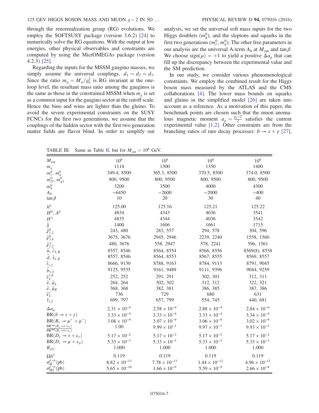through the renormalization group (RG) evolutions. We employ the SOFTSUSY package (version 3.6.2) [\[24\]](#page-11-11) to numerically solve the RG equations. With the output at low energies, other physical observables and constraints are computed by using the MicrOMEGAs package (version 4.2.3) [\[25\]](#page-11-12).

Regarding the inputs for the MSSM gaugino masses, we simply assume the universal couplings,  $d_1 = d_2 = d_3$ . Since the ratio  $m_g = M_a/g_a^2$  is RG invariant at the one-<br>loop level, the resultant mass ratio among the gauginos is loop level, the resultant mass ratio among the gauginos is the same as those in the constrained MSSM when  $m_q$  is set as a common input for the gaugino sector at the cutoff scale. Hence the bino and wino are lighter than the gluino. To avoid the severe experimental constraints on the SUSY FCNCs for the first two generations, we assume that the couplings of the hidden sector with the first two generation matter fields are flavor blind. In order to simplify our analysis, we set the universal soft mass inputs for the two Higgs doublets  $(m_h^0)$ , and the sleptons and squarks in the first two generations  $(m_l^0, m_q^0)$ . The other free parameters in our analysis are the universal A-term  $A_0$  at  $M_{\text{cut}}$  and tan  $\beta$ . We choose sign $(\mu) = +1$  to yield a positive  $\Delta a_{\mu}$  that can fill up the discrepancy between the experimental value and the SM prediction.

In our study, we consider various phenomenological constraints. We employ the combined result for the Higgs boson mass measured by the ATLAS and the CMS collaborations [\[4\]](#page-10-3). The lower mass bounds on squarks and gluino in the simplified model [\[26\]](#page-11-13) are taken into account as a reference. As a motivation of this paper, the benchmark points are chosen such that the muon anomalous magnetic moment  $a_{\mu} = \frac{g_{\mu}-2}{2}$  satisfies the current<br>experimental value [1.2] Other constraints are from the experimental value [\[1,2\]](#page-10-0). Other constraints are from the branching ratios of rare decay processes:  $b \rightarrow s + \gamma$  [\[27\]](#page-11-14),

TABLE [II](#page-6-1)I. Same as Table II, but for  $M_{\text{cut}} = 10^6$  GeV.

| $M_{\text{cut}}$                                                                                                                                                    | $10^6$                 | 10 <sup>6</sup>        | 10 <sup>6</sup>        | 10 <sup>6</sup>        |
|---------------------------------------------------------------------------------------------------------------------------------------------------------------------|------------------------|------------------------|------------------------|------------------------|
| $\begin{array}{c} m_g\\ m_l^0,\ m_q^0 \end{array}$                                                                                                                  | 1114                   | 1300                   | 1350                   | 1400                   |
|                                                                                                                                                                     | 349.4, 8500            | 365.3, 8500            | 370.5, 8500            | 374.0, 8500            |
| $m_{l3}^{0}$ ,<br>$m_{q3}^0$                                                                                                                                        | 800, 9500              | 800, 9500              | 800, 9500              | 800, 9500              |
| $m_h^0$                                                                                                                                                             | 3200                   | 3500                   | 4000                   | 4300                   |
| $A_0$                                                                                                                                                               | $-6450$                | $-2600$                | $-2000$                | $-400$                 |
| $\tan \beta$                                                                                                                                                        | 10                     | $20\,$                 | 30                     | 40                     |
| h <sup>0</sup>                                                                                                                                                      | 125.00                 | 125.16                 | 125.21                 | 125.22                 |
| $H^0$ , $A^0$                                                                                                                                                       | 4834                   | 4343                   | 4036                   | 3541                   |
| $H^\pm$                                                                                                                                                             | 4835                   | 4344                   | 4036                   | 3542                   |
|                                                                                                                                                                     | 1400                   | 1606                   | 1661                   | 1715                   |
|                                                                                                                                                                     | 243, 480               | 283, 557               | 294, 578               | 304, 596               |
|                                                                                                                                                                     | 3675, 3676             | 2945, 2946             | 2239, 2240             | 1558, 1560             |
| $\tilde{g}$<br>$\tilde{\chi}^0_{1,2}$<br>$\tilde{\chi}^0_{3,4}$<br>$\tilde{\chi}^\pm_{1,2}$                                                                         | 480, 3676              | 558, 2947              | 578, 2241              | 596, 1561              |
| $\tilde{u}, \tilde{c}_{L,R}$                                                                                                                                        | 8557, 8546             | 8564, 8554             | 8566, 8556             | 8569(8), 8558          |
|                                                                                                                                                                     | 8557, 8546             | 8564, 8553             | 8567, 8555             | 8569, 8557             |
| $\tilde{d}, \tilde{s}_{L,R}$<br>$\tilde{t}_{1,2}$<br>$\tilde{b}_{1,2}$<br>$\tilde{\nu}_{L}^{e,\mu}$<br>$\tilde{e}, \tilde{\mu}_{L}$<br>$\tilde{e}, \tilde{\mu}_{R}$ | 8666, 9130             | 8788, 9163             | 8784, 9113             | 8791, 9045             |
|                                                                                                                                                                     | 9125, 9535             | 9161, 9489             | 9111, 9396             | 9044, 9259             |
|                                                                                                                                                                     | 252, 252               | 291, 291               | 302, 301               | 312, 311               |
|                                                                                                                                                                     | 264, 264               | 302, 302               | 312, 312               | 322, 321               |
|                                                                                                                                                                     | 368, 368               | 382, 381               | 386, 385               | 387, 386               |
| $\tilde{\nu}^{\tau}_{L}$                                                                                                                                            | 736                    | 729                    | 680                    | 631                    |
| $\tilde{\tau}_{1,2}$                                                                                                                                                | 699, 797               | 657, 799               | 554, 745               | 440, 681               |
| $\Delta a_{\mu}$                                                                                                                                                    | $2.31 \times 10^{-9}$  | $2.58 \times 10^{-9}$  | $2.88 \times 10^{-9}$  | $2.84 \times 10^{-9}$  |
| $BR(b \rightarrow s + \gamma)$                                                                                                                                      | $3.33 \times 10^{-4}$  | $3.33 \times 10^{-4}$  | $3.33 \times 10^{-4}$  | $3.34 \times 10^{-4}$  |
| $BR(B_s \rightarrow \mu^+ + \mu^-)$                                                                                                                                 | $3.08 \times 10^{-9}$  | $3.07 \times 10^{-9}$  | $3.06 \times 10^{-9}$  | $3.02 \times 10^{-9}$  |
| $\frac{\text{BR}^{\text{exp}}(B_u \rightarrow \tau + \nu_{\tau})}{\text{BR}^{\text{SM}}(B_u \rightarrow \tau + \nu_{\tau})}$                                        | 1.00                   | $9.99 \times 10^{-1}$  | $9.97 \times 10^{-1}$  | $9.93 \times 10^{-1}$  |
| $BR(D_s \rightarrow \tau + \nu_{\tau})$                                                                                                                             | $5.17 \times 10^{-2}$  | $5.17 \times 10^{-2}$  | $5.17 \times 10^{-2}$  | $5.17 \times 10^{-2}$  |
| $BR(D_s \rightarrow \mu + \nu_\mu)$                                                                                                                                 | $5.33 \times 10^{-3}$  | $5.33 \times 10^{-3}$  | $5.33 \times 10^{-3}$  | $5.33 \times 10^{-3}$  |
| $R_{l23}$                                                                                                                                                           | 1.000                  | 1.000                  | 1.000                  | 1.000                  |
| $\Omega h^2$                                                                                                                                                        | 0.119                  | 0.119                  | 0.119                  | 0.119                  |
| $\sigma_{SI}^{\chi-p}$ (pb)                                                                                                                                         | $8.82\times10^{-13}$   | $7.78 \times 10^{-13}$ | $1.44 \times 10^{-12}$ | $4.96 \times 10^{-12}$ |
| $\sigma_{SD}^{\chi-p}$ (pb)                                                                                                                                         | $5.65 \times 10^{-10}$ | $1.66 \times 10^{-9}$  | $5.59 \times 10^{-9}$  | $2.66 \times 10^{-8}$  |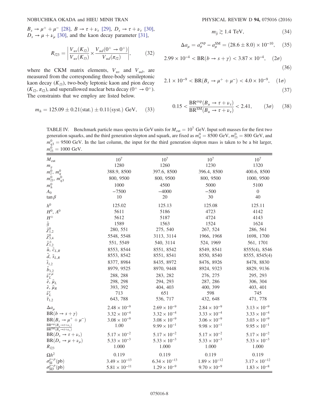$B_s \to \mu^+ + \mu^-$  [\[28\]](#page-11-15),  $B \to \tau + \nu_\tau$  [\[29\]](#page-11-16),  $D_s \to \tau + \nu_\tau$  [\[30\]](#page-11-17),  $D_s \rightarrow \mu + \nu_\mu$  [\[30\],](#page-11-17) and the kaon decay parameter [\[31\]](#page-11-18),

$$
R_{l23} = \left| \frac{V_{us}(K_{l2})}{V_{us}(K_{l3})} \times \frac{V_{ud}(0^+ \to 0^+)}{V_{ud}(\pi_{l2})} \right|,
$$
 (32)

where the CKM matrix elements,  $V_{us}$  and  $V_{ud}$ , are measured from the corresponding three-body semileptonic kaon decay  $(K_{13})$ , two-body leptonic kaon and pion decay  $(K_{l2}, \pi_{l2})$ , and superallowed nuclear beta decay  $(0^+ \rightarrow 0^+)$ . The constraints that we employ are listed below.

$$
m_h = 125.09 \pm 0.21 \text{(stat.)} \pm 0.11 \text{(syst.)} \text{ GeV}, \quad (33)
$$

$$
m_{\tilde{g}} \gtrsim 1.4 \text{ TeV},\tag{34}
$$

$$
\Delta a_{\mu} = a_{\mu}^{\text{exp}} - a_{\mu}^{\text{SM}} = (28.6 \pm 8.0) \times 10^{-10}, \quad (35)
$$

$$
2.99 \times 10^{-4} < BR(b \to s + \gamma) < 3.87 \times 10^{-4}, \quad (2\sigma) \tag{36}
$$

$$
2.1 \times 10^{-9} < BR(B_s \to \mu^+ + \mu^-) < 4.0 \times 10^{-9}, \quad (1\sigma) \tag{37}
$$

$$
0.15 < \frac{\text{BR}^{\text{exp}}(B_u \to \tau + \nu_\tau)}{\text{BR}^{\text{SM}}(B_u \to \tau + \nu_\tau)} < 2.41,\qquad (3\sigma)\qquad (38)
$$

<span id="page-8-0"></span>TABLE IV. Benchmark particle mass spectra in GeV units for  $M_{\text{cut}} = 10^7$  GeV. Input soft masses for the first two generation squarks, and the third generation slepton and squark, are fixed as  $m_q^0 = 8500 \text{ GeV}$ ,  $m_{l3}^0 = 800 \text{ GeV}$ , and  $m_q^0 = 0.500 \text{ GeV}$ . In the last galumn, the input for the third generation glapten mess is taken  $m_{q3}^0 = 9500$  GeV. In the last column, the input for the third generation slepton mass is taken to be a bit larger,  $m_{13}^0 = 1000 \text{ GeV}.$ 

| $M_{\text{cut}}$                                                                                                                                                                                                                                                                                                     | 10 <sup>7</sup>        | 10 <sup>7</sup>        | 10 <sup>7</sup>        | $10^{7}$               |
|----------------------------------------------------------------------------------------------------------------------------------------------------------------------------------------------------------------------------------------------------------------------------------------------------------------------|------------------------|------------------------|------------------------|------------------------|
| $m_{\it g}$                                                                                                                                                                                                                                                                                                          | 1280                   | 1260                   | 1230                   | 1320                   |
| $m_l^0$ , $m_q^0$                                                                                                                                                                                                                                                                                                    | 388.9, 8500            | 397.6, 8500            | 396.4, 8500            | 400.6, 8500            |
| $m_{l3}^0$ , $m_{q3}^0$                                                                                                                                                                                                                                                                                              | 800, 9500              | 800, 9500              | 800, 9500              | 1000, 9500             |
| $m_h^0$                                                                                                                                                                                                                                                                                                              | 1000                   | 4500                   | 5000                   | 5100                   |
| $A_0$                                                                                                                                                                                                                                                                                                                | $-7500$                | $-4000$                | $-500$                 | $\boldsymbol{0}$       |
| $\tan \beta$                                                                                                                                                                                                                                                                                                         | 10                     | 20                     | 30                     | 40                     |
| h <sup>0</sup>                                                                                                                                                                                                                                                                                                       | 125.02                 | 125.13                 | 125.08                 | 125.11                 |
| $H^0$ , $A^0$                                                                                                                                                                                                                                                                                                        | 5611                   | 5186                   | 4723                   | 4142                   |
| $H^\pm$                                                                                                                                                                                                                                                                                                              | 5612                   | 5187                   | 4724                   | 4143                   |
|                                                                                                                                                                                                                                                                                                                      | 1589                   | 1563                   | 1524                   | 1624                   |
|                                                                                                                                                                                                                                                                                                                      | 280, 551               | 275, 540               | 267, 524               | 286, 561               |
|                                                                                                                                                                                                                                                                                                                      | 5548, 5548             | 3113, 3114             | 1966, 1968             | 1698, 1700             |
| $\begin{array}{l} \tilde{g} \\ \tilde{\chi}_{1,2}^{0}\\ \tilde{\chi}_{3,4}^{0}\\ \tilde{\chi}_{3,4}^{\pm}\\ \tilde{\chi}_{1,2}^{\pm}\\ \tilde{\mu},\ \tilde{\zeta}_{L,R}\\ \tilde{t}_{1,2}\\ \tilde{b}_{1,2}\\ \tilde{\nu}_{L}^{\epsilon}\\ \tilde{e},\ \tilde{\mu}_{L}\\ \tilde{e},\ \tilde{\mu}_{R}\\ \end{array}$ | 551, 5549              | 540, 3114              | 524, 1969              | 561, 1701              |
|                                                                                                                                                                                                                                                                                                                      | 8553, 8544             | 8551, 8542             | 8549, 8541             | 8555(4), 8546          |
|                                                                                                                                                                                                                                                                                                                      | 8553, 8542             | 8551, 8541             | 8550, 8540             | 8555, 8545(4)          |
|                                                                                                                                                                                                                                                                                                                      | 8377, 8984             | 8435, 8972             | 8476, 8926             | 8478, 8830             |
|                                                                                                                                                                                                                                                                                                                      | 8979, 9525             | 8970, 9448             | 8924, 9323             | 8829, 9136             |
|                                                                                                                                                                                                                                                                                                                      | 288, 288               | 283, 282               | 276, 275               | 295, 293               |
|                                                                                                                                                                                                                                                                                                                      | 298, 298               | 294, 293               | 287, 286               | 306, 304               |
|                                                                                                                                                                                                                                                                                                                      | 393, 392               | 404, 403               | 400, 399               | 403, 401               |
|                                                                                                                                                                                                                                                                                                                      | 713                    | 651                    | 598                    | 745                    |
| $\tilde{\nu}^{\tau}_{L}$ $\tilde{\tau}_{1,2}$                                                                                                                                                                                                                                                                        | 643, 788               | 536, 717               | 432, 648               | 471, 778               |
| $\Delta a_{\mu}$                                                                                                                                                                                                                                                                                                     | $2.48 \times 10^{-9}$  | $2.69 \times 10^{-9}$  | $2.84 \times 10^{-9}$  | $3.13 \times 10^{-9}$  |
| $BR(b \rightarrow s + \gamma)$                                                                                                                                                                                                                                                                                       | $3.32 \times 10^{-4}$  | $3.32 \times 10^{-4}$  | $3.33 \times 10^{-4}$  | $3.33 \times 10^{-4}$  |
| $BR(B_s \rightarrow \mu^+ + \mu^-)$                                                                                                                                                                                                                                                                                  | $3.08 \times 10^{-9}$  | $3.08 \times 10^{-9}$  | $3.06 \times 10^{-9}$  | $3.03 \times 10^{-9}$  |
| $\frac{\text{BR}^{\text{exp}}(B_u \rightarrow \tau + \nu_{\tau})}{\text{BR}^{\text{SM}}(B_u \rightarrow \tau + \nu_{\tau})}$                                                                                                                                                                                         | 1.00                   | $9.99 \times 10^{-1}$  | $9.98 \times 10^{-1}$  | $9.95 \times 10^{-1}$  |
| $BR(D_s \rightarrow \tau + \nu_{\tau})$                                                                                                                                                                                                                                                                              | $5.17 \times 10^{-2}$  | $5.17 \times 10^{-2}$  | $5.17 \times 10^{-2}$  | $5.17 \times 10^{-2}$  |
| $BR(D_s \rightarrow \mu + \nu_\mu)$                                                                                                                                                                                                                                                                                  | $5.33 \times 10^{-3}$  | $5.33 \times 10^{-3}$  | $5.33 \times 10^{-3}$  | $5.33 \times 10^{-3}$  |
| $R_{l23}$                                                                                                                                                                                                                                                                                                            | 1.000                  | 1.000                  | 1.000                  | 1.000                  |
| $\Omega h^2$                                                                                                                                                                                                                                                                                                         | 0.119                  | 0.119                  | 0.119                  | 0.119                  |
| $\sigma_{SI}^{\chi-p}$ (pb)                                                                                                                                                                                                                                                                                          | $3.49 \times 10^{-13}$ | $6.34 \times 10^{-13}$ | $1.89 \times 10^{-12}$ | $3.17 \times 10^{-12}$ |
| $\sigma_{SD}^{\chi-p}(\text{pb})$                                                                                                                                                                                                                                                                                    | $5.81 \times 10^{-11}$ | $1.29 \times 10^{-9}$  | $9.70 \times 10^{-9}$  | $1.83 \times 10^{-8}$  |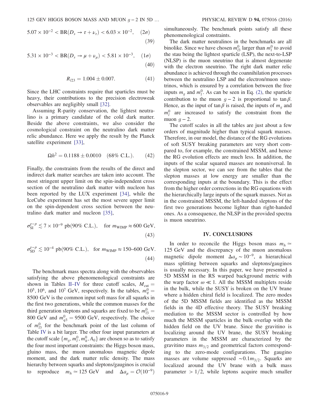$$
5.07 \times 10^{-2} < BR(D_s \to \tau + \nu_\tau) < 6.03 \times 10^{-2}, \quad (2\sigma) \tag{39}
$$

$$
5.31 \times 10^{-3} < BR(D_s \to \mu + \nu_\mu) < 5.81 \times 10^{-3}, \quad (1\sigma) \tag{40}
$$

$$
R_{l23} = 1.004 \pm 0.007. \tag{41}
$$

Since the LHC constraints require that sparticles must be heavy, their contributions to the precision electroweak observables are negligibly small [\[32\].](#page-11-19)

Assuming R-parity conservation, the lightest neutralino is a primary candidate of the cold dark matter. Beside the above constraints, we also consider the cosmological constraint on the neutralino dark matter relic abundance. Here we apply the result by the Planck satellite experiment [\[33\],](#page-11-20)

$$
\Omega h^2 = 0.1188 \pm 0.0010 \quad (68\% \text{ C.L.}). \tag{42}
$$

Finally, the constraints from the results of the direct and indirect dark matter searches are taken into account. The most stringent upper limit on the spin-independent cross section of the neutralino dark matter with nucleon has been reported by the LUX experiment [\[34\],](#page-11-21) while the IceCube experiment has set the most severe upper limit on the spin-dependent cross section between the neutralino dark matter and nucleon [\[35\],](#page-11-22)

$$
\sigma_{\rm SI}^{\chi-p} \lesssim 7 \times 10^{-9} \text{ pb} (90\% \text{ C.L.}), \quad \text{for } m_{\rm WIMP} \approx 600 \text{ GeV},
$$
\n(43)

$$
\sigma_{SD}^{\chi-p} \lesssim 10^{-4} \text{ pb}(90\% \text{ C.L.}), \text{ for } m_{\text{WIMP}} \approx 150-600 \text{ GeV.}
$$
\n(44)

The benchmark mass spectra along with the observables satisfying the above phenomenological constraints are shown in Tables II–[IV](#page-6-1) for three cutoff scales,  $M_{\text{cut}} =$  $10^5$ ,  $10^6$ , and  $10^7$  GeV, respectively. In the tables,  $m_q^0 =$ 10, 10, and 10, GeV, respectively. In the tables,  $m_q = 8500 \text{ GeV}$  is the common input soft mass for all squarks in the first two generations, while the common masses for the third generation sleptons and squarks are fixed to be  $m_{13}^0 =$ land generation steptons and squares are fixed to be  $m_{l3} = 800 \text{ GeV}$  and  $m_{q3}^0 = 9500 \text{ GeV}$ , respectively. The choice of  $m_{13}^0$  for the benchmark point of the last column of Table [IV](#page-8-0) is a bit larger. The other four input parameters at the cutoff scale  $\{m_g, m_h^0, m_h^0, A_0\}$  are chosen so as to satisfy<br>the four most important constraints; the Higgs boson mass the four most important constraints: the Higgs boson mass, gluino mass, the muon anomalous magnetic dipole moment, and the dark matter relic density. The mass hierarchy between squarks and sleptons/gauginos is crucial to reproduce  $m_h \approx 125 \text{ GeV}$  and  $\Delta a_\mu = \mathcal{O}(10^{-9})$ 

simultaneously. The benchmark points satisfy all these phenomenological constraints.

The dark matter neutralinos in the benchmarks are all binolike. Since we have chosen  $m_{l3}^0$  larger than  $m_l^0$  to avoid the stau being the lightest sparticle (LSP), the next-to-LSP (NLSP) is the muon sneutrino that is almost degenerate with the electron sneutrino. The right dark matter relic abundance is achieved through the coannihilation processes between the neutralino LSP and the electron/muon sneutrinos, which is ensured by a correlation between the free inputs  $m<sub>g</sub>$  and  $m<sub>l</sub><sup>0</sup>$ . As can be seen in Eq. [\(2\)](#page-1-4), the sparticle contribution to the muon  $g - 2$  is proportional to tan  $\beta$ . Hence, as the input of tan  $\beta$  is raised, the inputs of  $m_q$  and  $m_l^0$  are increased to satisfy the constraint from the muon  $q - 2$ .

The cutoff scales in all the tables are just about a few orders of magnitude higher than typical squark masses. Therefore, in our model, the distance of the RG evolutions of soft SUSY breaking parameters are very short compared to, for example, the constrained MSSM, and hence the RG evolution effects are much less. In addition, the inputs of the scalar squared masses are nonuniversal. In the slepton sector, we can see from the tables that the slepton masses at low energy are smaller than the corresponding inputs at the boundary. This is the effect from the higher order corrections in the RG equations with the hierarchically large inputs of the squark masses. Not as in the constrained MSSM, the left-handed sleptons of the first two generations become lighter than right-handed ones. As a consequence, the NLSP in the provided spectra is muon sneutrino.

### IV. CONCLUSIONS

<span id="page-9-0"></span>In order to reconcile the Higgs boson mass  $m<sub>h</sub>$  ≃ 125 GeV and the discrepancy of the muon anomalous magnetic dipole moment  $\Delta a_\mu \sim 10^{-9}$ , a hierarchical mass splitting between squarks and sleptons/gauginos is usually necessary. In this paper, we have presented a 5D MSSM in the RS warped background metric with the warp factor  $\omega \ll 1$ . All the MSSM multiplets reside in the bulk, while the SUSY is broken on the UV brane where a hidden chiral field is localized. The zero modes of the 5D MSSM fields are identified as the MSSM fields in the 4D effective theory. The SUSY breaking mediation to the MSSM sector is controlled by how much the MSSM sparticles in the bulk overlap with the hidden field on the UV brane. Since the gravitino is localizing around the UV brane, the SUSY breaking parameters in the MSSM are characterized by the gravitino mass  $m_{3/2}$  and geometrical factors corresponding to the zero-mode configurations. The gaugino masses are volume suppressed ~0.1 $m_{3/2}$ . Squarks are localized around the UV brane with a bulk mass parameter  $> 1/2$ , while leptons acquire much smaller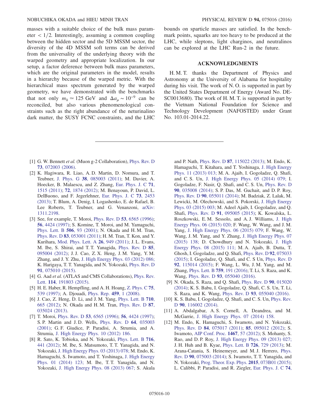masses with a suitable choice of the bulk mass parameter  $\langle 1/2$ . Interestingly, assuming a common coupling between the hidden sector and the 5D MSSM sector, the diversity of the 4D MSSM soft terms can be derived from the universality of the underlying theory with the warped geometry and appropriate localization. In our setup, a factor deference between bulk mass parameters, which are the original parameters in the model, results in a hierarchy because of the warped metric. With the hierarchical mass spectrum generated by the warped geometry, we have demonstrated with the benchmarks that not only  $m_h \approx 125$  GeV and  $\Delta a_u \sim 10^{-9}$  can be reconciled, but also various phenomenological constraints such as the right abundance of the neturinalino dark matter, the SUSY FCNC constraints, and the LHC bounds on sparticle masses are satisfied. In the benchmark points, squarks are too heavy to be produced at the LHC, while sleptons, light charginos, and neutralinos can be explored at the LHC Run-2 in the future.

### ACKNOWLEDGMENTS

H. M. T. thanks the Department of Physics and Astronomy at the University of Alabama for hospitality during his visit. The work of N. O. is supported in part by the United States Department of Energy (Award No. DE-SC0013680). The work of H. M. T. is supported in part by the Vietnam National Foundation for Science and Technology Development (NAFOSTED) under Grant No. 103.01-2014.22.

- <span id="page-10-0"></span>[1] G. W. Bennett et al. (Muon g-2 Collaboration), [Phys. Rev. D](http://dx.doi.org/10.1103/PhysRevD.73.072003) 73[, 072003 \(2006\).](http://dx.doi.org/10.1103/PhysRevD.73.072003)
- <span id="page-10-1"></span>[2] K. Hagiwara, R. Liao, A. D. Martin, D. Nomura, and T. Teubner, J. Phys. G 38[, 085003 \(2011\);](http://dx.doi.org/10.1088/0954-3899/38/8/085003) M. Davier, A. Hoecker, B. Malaescu, and Z. Zhang, [Eur. Phys. J. C](http://dx.doi.org/10.1140/epjc/s10052-010-1515-z) 71, [1515 \(2011\);](http://dx.doi.org/10.1140/epjc/s10052-010-1515-z) 72[, 1874 \(2012\)](http://dx.doi.org/10.1140/epjc/s10052-012-1874-8); M. Benayoun, P. David, L. DelBuono, and F. Jegerlehner, [Eur. Phys. J. C](http://dx.doi.org/10.1140/epjc/s10052-013-2453-3) 73, 2453 [\(2013\);](http://dx.doi.org/10.1140/epjc/s10052-013-2453-3) T. Blum, A. Denig, I. Logashenko, E. de Rafael, B. Lee Roberts, T. Teubner, and G. Venanzoni, [arXiv:](http://arXiv.org/abs/1311.2198) [1311.2198.](http://arXiv.org/abs/1311.2198)
- <span id="page-10-2"></span>[3] See, for example, T. Moroi, Phys. Rev. D 53[, 6565 \(1996\)](http://dx.doi.org/10.1103/PhysRevD.53.6565); 56[, 4424 \(1997\)](http://dx.doi.org/10.1103/PhysRevD.56.4424); S. Komine, T. Moroi, and M. Yamaguchi, [Phys. Lett. B](http://dx.doi.org/10.1016/S0370-2693(01)00381-1) 506, 93 (2001); N. Okada and H. M. Tran, Phys. Rev. D 83[, 053001 \(2011\)](http://dx.doi.org/10.1103/PhysRevD.83.053001); H. M. Tran, T. Kon, and Y. Kurihara, [Mod. Phys. Lett. A](http://dx.doi.org/10.1142/S0217732311035420) 26, 949 (2011); J. L. Evans, M. Ibe, S. Shirai, and T. T. Yanagida, [Phys. Rev. D](http://dx.doi.org/10.1103/PhysRevD.85.095004) 85, [095004 \(2012\);](http://dx.doi.org/10.1103/PhysRevD.85.095004) J. J. Cao, Z. X. Heng, J. M. Yang, Y. M. Zhang, and J. Y. Zhu, [J. High Energy Phys. 03 \(2012\) 086;](http://dx.doi.org/10.1007/JHEP03(2012)086) K. Harigaya, T. T. Yanagida, and N. Yokozaki, [Phys. Rev. D](http://dx.doi.org/10.1103/PhysRevD.91.075010) 91[, 075010 \(2015\).](http://dx.doi.org/10.1103/PhysRevD.91.075010)
- <span id="page-10-3"></span>[4] G. Aad et al. (ATLAS and CMS Collaborations), [Phys. Rev.](http://dx.doi.org/10.1103/PhysRevLett.114.191803) Lett. 114[, 191803 \(2015\)](http://dx.doi.org/10.1103/PhysRevLett.114.191803).
- <span id="page-10-4"></span>[5] H. E. Haber, R. Hempfling, and A. H. Hoang, [Z. Phys. C](http://dx.doi.org/10.1007/s002880050498) 75, [539 \(1997\)](http://dx.doi.org/10.1007/s002880050498); A. Djouadi, [Phys. Rep.](http://dx.doi.org/10.1016/j.physrep.2007.10.005) 459, 1 (2008).
- <span id="page-10-5"></span>[6] J. Cao, Z. Heng, D. Li, and J. M. Yang, [Phys. Lett. B](http://dx.doi.org/10.1016/j.physletb.2012.03.052) 710, [665 \(2012\);](http://dx.doi.org/10.1016/j.physletb.2012.03.052) N. Okada and H. M. Tran, [Phys. Rev. D](http://dx.doi.org/10.1103/PhysRevD.87.035024) 87, [035024 \(2013\).](http://dx.doi.org/10.1103/PhysRevD.87.035024)
- <span id="page-10-6"></span>[7] T. Moroi, Phys. Rev. D **53**[, 6565 \(1996\);](http://dx.doi.org/10.1103/PhysRevD.53.6565) **56**[, 4424 \(1997\)](http://dx.doi.org/10.1103/PhysRevD.56.4424); S. P. Martin and J. D. Wells, [Phys. Rev. D](http://dx.doi.org/10.1103/PhysRevD.64.035003) 64, 035003 [\(2001\);](http://dx.doi.org/10.1103/PhysRevD.64.035003) G. F. Giudice, P. Paradisi, A. Strumia, and A. Strumia, [J. High Energy Phys. 10 \(2012\) 186.](http://dx.doi.org/10.1007/JHEP10(2012)186)
- <span id="page-10-7"></span>[8] R. Sato, K. Tobioka, and N. Yokozaki, [Phys. Lett. B](http://dx.doi.org/10.1016/j.physletb.2012.09.005) 716, [441 \(2012\)](http://dx.doi.org/10.1016/j.physletb.2012.09.005); M. Ibe, S. Matsumoto, T. T. Yanagida, and N. Yokozaki, [J. High Energy Phys. 03 \(2013\) 078;](http://dx.doi.org/10.1007/JHEP03(2013)078) M. Endo, K. Hamaguchi, S. Iwamoto, and T. Yoshinaga, [J. High Energy](http://dx.doi.org/10.1007/JHEP01(2014)123) [Phys. 01 \(2014\) 123;](http://dx.doi.org/10.1007/JHEP01(2014)123) M. Ibe, T. T. Yanagida, and N. Yokozaki, [J. High Energy Phys. 08 \(2013\) 067;](http://dx.doi.org/10.1007/JHEP08(2013)067) S. Akula

and P. Nath, Phys. Rev. D 87[, 115022 \(2013\)](http://dx.doi.org/10.1103/PhysRevD.87.115022); M. Endo, K. Hamaguchi, T. Kitahara, and T. Yoshinaga, [J. High Energy](http://dx.doi.org/10.1007/JHEP11(2013)013) [Phys. 11 \(2013\) 013;](http://dx.doi.org/10.1007/JHEP11(2013)013) M. A. Ajaib, I. Gogoladze, Q. Shafi, and C. S. Un, [J. High Energy Phys. 05 \(2014\) 079;](http://dx.doi.org/10.1007/JHEP05(2014)079) I. Gogoladze, F. Nasir, Q. Shafi, and C. S. Un, [Phys. Rev. D](http://dx.doi.org/10.1103/PhysRevD.90.035008) 90[, 035008 \(2014\)](http://dx.doi.org/10.1103/PhysRevD.90.035008); S. P. Das, M. Guchait, and D. P. Roy, Phys. Rev. D 90[, 055011 \(2014\);](http://dx.doi.org/10.1103/PhysRevD.90.055011) M. Badziak, Z. Lalak, M. Lewicki, M. Olechowski, and S. Pokorski, [J. High Energy](http://dx.doi.org/10.1007/JHEP03(2015)003) [Phys. 03 \(2015\) 003;](http://dx.doi.org/10.1007/JHEP03(2015)003) M. Adeel Ajaib, I. Gogoladze, and Q. Shafi, Phys. Rev. D 91[, 095005 \(2015\)](http://dx.doi.org/10.1103/PhysRevD.91.095005); K. Kowalska, L. Roszkowski, E. M. Sessolo, and A. J. Williams, [J. High](http://dx.doi.org/10.1007/JHEP06(2015)020) [Energy Phys. 06 \(2015\) 020;](http://dx.doi.org/10.1007/JHEP06(2015)020) F. Wang, W. Wang, and J. M. Yang, [J. High Energy Phys. 06 \(2015\) 079;](http://dx.doi.org/10.1007/JHEP06(2015)079) F. Wang, W. Wang, J. M. Yang, and Y. Zhang, [J. High Energy Phys. 07](http://dx.doi.org/10.1007/JHEP07(2015)138) [\(2015\) 138;](http://dx.doi.org/10.1007/JHEP07(2015)138) D. Chowdhury and N. Yokozaki, [J. High](http://dx.doi.org/10.1007/JHEP08(2015)111) [Energy Phys. 08 \(2015\) 111;](http://dx.doi.org/10.1007/JHEP08(2015)111) M. A. Ajaib, B. Dutta, T. Ghosh, I. Gogoladze, and Q. Shafi, [Phys. Rev. D](http://dx.doi.org/10.1103/PhysRevD.92.075033) 92, 075033 [\(2015\);](http://dx.doi.org/10.1103/PhysRevD.92.075033) I. Gogoladze, Q. Shafi, and C. S Un, [Phys. Rev. D](http://dx.doi.org/10.1103/PhysRevD.92.115014) 92[, 115014 \(2015\);](http://dx.doi.org/10.1103/PhysRevD.92.115014) F. Wang, L. Wu, J. M. Yang, and M. Zhang, [Phys. Lett. B](http://dx.doi.org/10.1016/j.physletb.2016.05.071) 759, 191 (2016); T. Li, S. Raza, and K. Wang, Phys. Rev. D 93[, 055040 \(2016\)](http://dx.doi.org/10.1103/PhysRevD.93.055040).

- <span id="page-10-8"></span>[9] N. Okada, S. Raza, and O. Shafi, [Phys. Rev. D](http://dx.doi.org/10.1103/PhysRevD.90.015020) 90, 015020 [\(2014\);](http://dx.doi.org/10.1103/PhysRevD.90.015020) K. S. Babu, I. Gogoladze, Q. Shafi, C. S. Un, T. Li, S. Raza, and K. Wang, Phys. Rev. D 93[, 055040 \(2016\)](http://dx.doi.org/10.1103/PhysRevD.93.055040).
- [10] K. S. Babu, I. Gogoladze, Q. Shafi, and C. S. Un, [Phys. Rev.](http://dx.doi.org/10.1103/PhysRevD.90.116002) D 90[, 116002 \(2014\)](http://dx.doi.org/10.1103/PhysRevD.90.116002).
- [11] A. Abdalgabar, A. S. Cornell, A. Deandrea, and M. McGarrie, [J. High Energy Phys. 07 \(2014\) 158.](http://dx.doi.org/10.1007/JHEP07(2014)158)
- <span id="page-10-9"></span>[12] M. Endo, K. Hamaguchi, S. Iwamoto, and N. Yokozaki, Phys. Rev. D 84[, 075017 \(2011\)](http://dx.doi.org/10.1103/PhysRevD.84.075017); 85[, 095012 \(2012\);](http://dx.doi.org/10.1103/PhysRevD.85.095012) S. Iwamoto, [AIP Conf. Proc.](http://dx.doi.org/10.1063/1.4742079) 1467, 57 (2012); S. Mohanty, S. Rao, and D. P. Roy, [J. High Energy Phys. 09 \(2013\) 027;](http://dx.doi.org/10.1007/JHEP09(2013)027) J. H. Huh and B. Kyae, [Phys. Lett. B](http://dx.doi.org/10.1016/j.physletb.2013.09.037) 726, 729 (2013); M. Arana-Catania, S. Heinemeyer, and M. J. Herrero, [Phys.](http://dx.doi.org/10.1103/PhysRevD.90.075003) Rev. D 90[, 075003 \(2014\);](http://dx.doi.org/10.1103/PhysRevD.90.075003) S. Iwamoto, T. T. Yanagida, and N. Yokozaki, [Prog. Theor. Exp. Phys.](http://dx.doi.org/10.1093/ptep/ptv084) 2015, 073B01 (2015); L. Calibbi, P. Paradisi, and R. Ziegler, [Eur. Phys. J. C](http://dx.doi.org/10.1140/epjc/s10052-014-3211-x) 74,